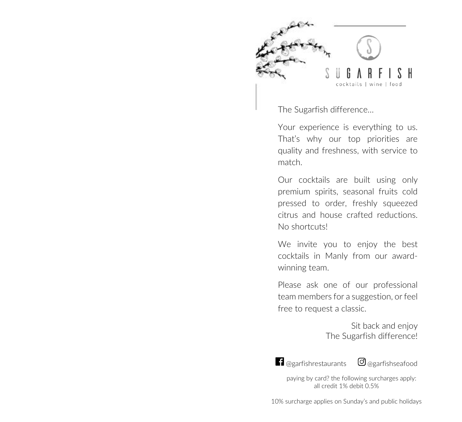

The Sugarfish difference…

Your experience is everything to us. That's why our top priorities are quality and freshness, with service to match.

Our cocktails are built using only premium spirits, seasonal fruits cold pressed to order, freshly squeezed citrus and house crafted reductions. No shortcuts!

We invite you to enjoy the best cocktails in Manly from our awardwinning team.

Please ask one of our professional team members for a suggestion, or feel free to request a classic.

> Sit back and enjoy The Sugarfish difference!



1 @garfishrestaurants © @garfishseafood

paying by card? the following surcharges apply: all credit 1% debit 0.5%

10% surcharge applies on Sunday's and public holidays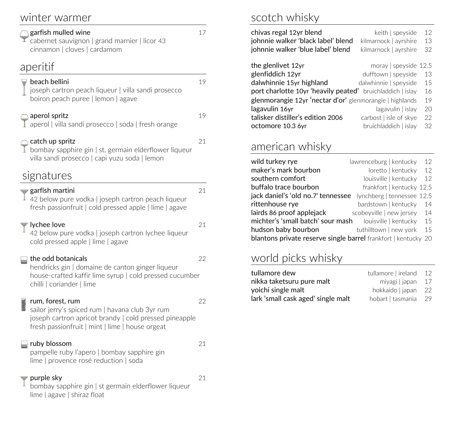### winter warmer

#### garfish mulled wine 17

 $\overline{1}$  cabernet sauvignon | grand marnier | licor 43 cinnamon | cloves | cardamom

#### aperitif

### $\blacksquare$  beach bellini  $\blacksquare$

joseph cartron peach liqueur | villa sandi prosecco boiron peach puree | lemon | agave

#### aperol spritz 19

aperol | villa sandi prosecco | soda | fresh orange

#### $\bigcirc$  catch up spritz 21

 $\perp$  bombay sapphire gin | st. germain elderflower liqueur villa sandi prosecco | capi yuzu soda | lemon

fresh passionfruit | cold pressed apple | lime | agave

## signatures

#### $\bullet$  garfish martini 21

#### $\frac{1}{4}$  42 below pure vodka l joseph cartron peach liqueur

 $\blacktriangledown$  lychee love  $21$ 42 below pure vodka | joseph cartron lychee liqueur cold pressed apple | lime | agave

#### the odd botanicals and 22

hendricks gin | domaine de canton ginger liqueur house-crafted kaffir lime syrup | cold pressed cucumber chilli | coriander | lime

#### rum, forest, rum 22

sailor jerry's spiced rum | havana club 3yr rum joseph cartron apricot brandy | cold pressed pineapple fresh passionfruit | mint | lime | house orgeat

#### ruby blossom 21

pampelle ruby l'apero | bombay sapphire gin lime | provence rosé reduction | soda

#### purple sky 21

bombay sapphire gin ǀ st germain elderflower liqueur lime | agave | shiraz float

## scotch whisky

| chivas regal 12yr blend<br>johnnie walker 'black label' blend<br>johnnie walker 'blue label' blend | keith   speyside<br>kilmarnock   ayrshire<br>kilmarnock   ayrshire | 12<br>13<br>32 |
|----------------------------------------------------------------------------------------------------|--------------------------------------------------------------------|----------------|
| the glenlivet 12yr                                                                                 | moray   speyside $12.5$                                            |                |
| glenfiddich 12yr                                                                                   | dufftown   speyside                                                | 13             |
| dalwhinnie 15yr highland                                                                           | dalwhinnie   speyside                                              | 15             |
| port charlotte 10yr 'heavily peated' bruichladdich   islay                                         |                                                                    | 16             |
| glenmorangie 12yr 'nectar d'or' glenmorangie   highlands                                           |                                                                    | 19             |
| lagavulin 16yr                                                                                     | lagavulin   islay                                                  | 20             |
| talisker distiller's edition 2006                                                                  | carbost   isle of skye                                             | 22             |
| octomore 10.3 6yr                                                                                  | bruichladdich   islay                                              | 32             |
|                                                                                                    |                                                                    |                |

### american whisky

| wild turkey rye                                                | lawrenceburg   kentucky    | 12  |
|----------------------------------------------------------------|----------------------------|-----|
| maker's mark bourbon                                           | loretto   kentucky         | 12  |
| southern comfort                                               | louisville   kentucky      | 12  |
| buffalo trace bourbon                                          | frankfort   kentucky 12.5  |     |
| jack daniel's 'old no.7' tennessee                             | lynchberg   tennessee 12.5 |     |
| rittenhouse rye                                                | bardstown   kentucky       | 14  |
| lairds 86 proof applejack                                      | scobeyville   new jersey   | -14 |
| michter's 'small batch' sour mash                              | louisville   kentucky      | 15  |
| hudson baby bourbon                                            | tuthilltown   new york     | 15  |
| blantons private reserve single barrel frankfort   kentucky 20 |                            |     |

## world picks whisky

| tullamore dew                      | tullamore lireland 12 |  |
|------------------------------------|-----------------------|--|
| nikka taketsuru pure malt          | miyagi   japan 17     |  |
| yoichi single malt                 | hokkaido   japan 22   |  |
| lark 'small cask aged' single malt | hobart Lasmania 29    |  |
|                                    |                       |  |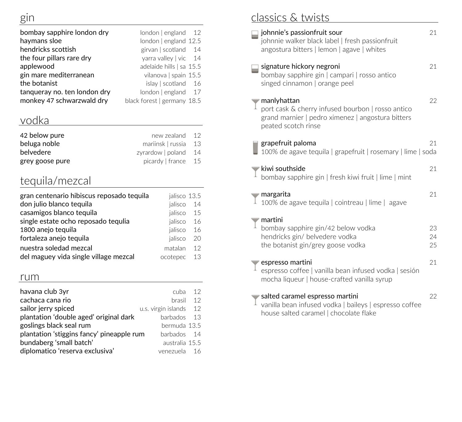| bombay sapphire london dry   | $london$   england 12       |
|------------------------------|-----------------------------|
| haymans sloe                 | london   england 12.5       |
| hendricks scottish           | girvan   scotland 14        |
| the four pillars rare dry    | yarra valley   vic $14$     |
| applewood                    | adelaide hills   sa 15.5    |
| gin mare mediterranean       | vilanova   spain 15.5       |
| the botanist                 | islay   scotland 16         |
| tanqueray no. ten london dry | london   england 17         |
| monkey 47 schwarzwald dry    | black forest   germany 18.5 |

## vodka

| 42 below pure   | new zealand 12       |  |
|-----------------|----------------------|--|
| beluga noble    | mariinsk I russia 13 |  |
| belvedere       | zyrardow poland $14$ |  |
| grey goose pure | picardy   france 15  |  |

## tequila/mezcal

| gran centenario hibiscus reposado tequila | jalisco 13.5 |     |
|-------------------------------------------|--------------|-----|
| don julio blanco tequila                  | jalisco 14   |     |
| casamigos blanco tequila                  | jalisco 15   |     |
| single estate ocho reposado tequlia       | jalisco      | -16 |
| 1800 anejo tequila                        | jalisco      | -16 |
| fortaleza anejo tequila                   | jalisco      | -20 |
| nuestra soledad mezcal                    | matalan      | 12  |
| del maguey vida single village mezcal     | ocotepec     | -13 |

#### rum

| havana club 3yr                           | 12<br>cuba                |
|-------------------------------------------|---------------------------|
| cachaca cana rio                          | 12<br>hrasil              |
| sailor jerry spiced                       | u.s. virgin islands<br>12 |
| plantation 'double aged' original dark    | barbados.<br>-13          |
| goslings black seal rum                   | bermuda 13.5              |
| plantation 'stiggins fancy' pineapple rum | harhados 14               |
| bundaberg 'small batch'                   | australia 15.5            |
| diplomatico 'reserva exclusiva'           | venezuela<br>16           |

# classics & twists

| johnnie's passionfruit sour<br>johnnie walker black label   fresh passionfruit<br>angostura bitters   lemon   agave   whites                 | 21             |
|----------------------------------------------------------------------------------------------------------------------------------------------|----------------|
| signature hickory negroni<br>bombay sapphire gin   campari   rosso antico<br>singed cinnamon   orange peel                                   | 21             |
| manlyhattan<br>port cask & cherry infused bourbon   rosso antico<br>grand marnier   pedro ximenez   angostura bitters<br>peated scotch rinse | 22             |
| grapefruit paloma<br>100% de agave tequila   grapefruit   rosemary   lime   soda                                                             | 21             |
| kiwi southside<br>bombay sapphire gin   fresh kiwi fruit   lime   mint                                                                       | 21             |
| margarita<br>100% de agave tequila   cointreau   lime   agave                                                                                | 21             |
| martini<br>bombay sapphire gin/42 below vodka<br>hendricks gin/ belvedere vodka<br>the botanist gin/grey goose vodka                         | 23<br>24<br>25 |
| espresso martini<br>espresso coffee   vanilla bean infused vodka   sesión<br>mocha liqueur   house-crafted vanilla syrup                     | 21             |
| salted caramel espresso martini<br>vanilla bean infused vodka   baileys   espresso coffee<br>house salted caramel   chocolate flake          | 22             |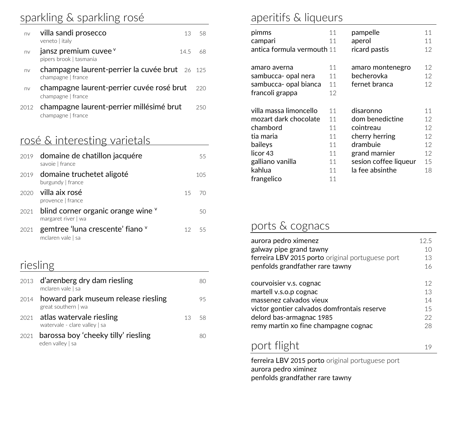## sparkling & sparkling rosé

| nv   | villa sandi prosecco<br>13<br>veneto   italy                         | -58 |
|------|----------------------------------------------------------------------|-----|
| nv   | jansz premium cuvee <sup>v</sup><br>145<br>pipers brook   tasmania   | 68  |
| nv   | champagne laurent-perrier la cuvée brut 26 125<br>champagne   france |     |
| nv   | champagne laurent-perrier cuvée rosé brut<br>champagne   france      | 220 |
| 2012 | champagne laurent-perrier millésimé brut<br>champagne   france       | 250 |

## rosé & interesting varietals

|      | 2019 domaine de chatillon jacquére<br>savoie   france                   |    | 55   |
|------|-------------------------------------------------------------------------|----|------|
|      | 2019 domaine truchetet aligoté<br>burgundy   france                     |    | 105  |
|      | $2020$ villa aix rosé<br>provence   france                              | 15 | - 70 |
|      | $2021$ blind corner organic orange wine $\theta$<br>margaret river   wa |    | 50   |
| 2021 | gemtree 'luna crescente' fiano $^{\mathsf{v}}$<br>mclaren vale   sa     |    | -55  |

## riesling

| 2013 d'arenberg dry dam riesling<br>mclaren vale   sa           |       |    |
|-----------------------------------------------------------------|-------|----|
| 2014 howard park museum release riesling<br>great southern   wa |       | 95 |
| 2021 atlas watervale riesling<br>watervale - clare valley   sa  | 13 58 |    |
| 2021 barossa boy 'cheeky tilly' riesling<br>eden valley   sa    |       | 80 |

## aperitifs & liqueurs

| pimms                      | 11 | pampelle              | 11 |
|----------------------------|----|-----------------------|----|
| campari                    | 11 | aperol                | 11 |
| antica formula vermouth 11 |    | ricard pastis         | 12 |
|                            |    |                       |    |
| amaro averna               | 11 | amaro montenegro      | 12 |
| sambucca- opal nera        | 11 | becherovka            | 12 |
| sambucca- opal bianca      | 11 | fernet branca         | 12 |
| francoli grappa            | 12 |                       |    |
|                            |    |                       |    |
|                            |    |                       |    |
| villa massa limoncello     | 11 | disaronno             | 11 |
| mozart dark chocolate      | 11 | dom benedictine       | 12 |
| chambord                   | 11 | cointreau             | 12 |
| tia maria                  | 11 | cherry herring        | 12 |
| baileys                    | 11 | drambuie              | 12 |
| licor <sub>43</sub>        | 11 | grand marnier         | 12 |
| galliano vanilla           | 11 | sesíon coffee liqueur | 15 |
| kahlua                     | 11 | la fee absinthe       | 18 |

## ports & cognacs

| aurora pedro ximenez                             | 12.5 |
|--------------------------------------------------|------|
| galway pipe grand tawny                          | 10   |
| ferreira LBV 2015 porto original portuguese port | 13   |
| penfolds grandfather rare tawny                  | 16   |
| courvoisier v.s. cognac                          | 12   |
| martell v.s.o.p cognac                           | 13   |
| massenez calvados vieux                          | 14   |
| victor gontier calvados domfrontais reserve      | 15   |
| delord bas-armagnac 1985                         | 22   |
| remy martin xo fine champagne cognac             | 28   |
| port flight                                      |      |

ferreira LBV 2015 porto original portuguese port aurora pedro ximinez penfolds grandfather rare tawny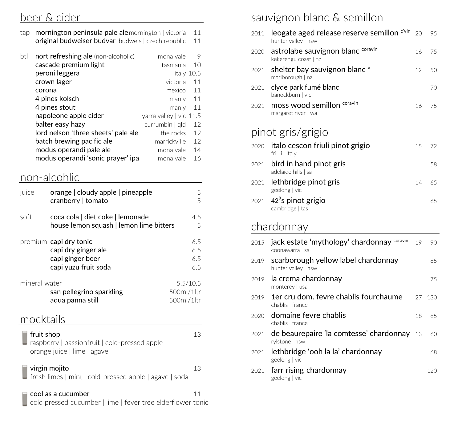### beer & cider

| tap <b>mornington peninsula pale ale</b> mornington victoria |  | 11 |
|--------------------------------------------------------------|--|----|
| <b>original budweiser budvar</b> budweis   czech republic 11 |  |    |

| btl<br>nort refreshing ale (non-alcoholic) | mona vale               | 9  |
|--------------------------------------------|-------------------------|----|
| cascade premium light                      | tasmania                | 10 |
| peroni leggera                             | italy 10.5              |    |
| crown lager                                | victoria                | 11 |
| corona                                     | mexico                  | 11 |
| 4 pines kolsch                             | manly                   | 11 |
| 4 pines stout                              | manly                   | 11 |
| napoleone apple cider                      | yarra valley   vic 11.5 |    |
| balter easy hazy                           | currumbin   gld         | 12 |
| lord nelson 'three sheets' pale ale        | the rocks               | 12 |
| batch brewing pacific ale                  | marrickville            | 12 |
| modus operandi pale ale                    | mona vale               | 14 |
| modus operandi 'sonic prayer' ipa          | mona vale               | 16 |

### non-alcohlic

| juice         | orange   cloudy apple   pineapple<br>cranberry   tomato                                   | 5<br>5                                |
|---------------|-------------------------------------------------------------------------------------------|---------------------------------------|
| soft          | coca cola   diet coke   lemonade<br>house lemon squash   lemon lime bitters               | 4.5<br>5                              |
|               | premium capi dry tonic<br>capi dry ginger ale<br>capi ginger beer<br>capi yuzu fruit soda | 6.5<br>6.5<br>6.5<br>6.5              |
| mineral water | san pellegrino sparkling<br>aqua panna still                                              | 5.5/10.5<br>500ml/1 ltr<br>500ml/1 tr |

## mocktails

| fruit shop                                                                            | 13. |
|---------------------------------------------------------------------------------------|-----|
| $\Box$ raspberry   passionfruit   cold-pressed apple                                  |     |
| orange juice   lime   agave                                                           |     |
|                                                                                       |     |
| virgin mojito                                                                         | 13  |
| $\Box$ fresh limes $\vert$ mint $\vert$ cold-pressed apple $\vert$ agave $\vert$ soda |     |

#### cool as a cucumber 11

Ī cold pressed cucumber | lime | fever tree elderflower tonic

## sauvignon blanc & semillon

| 2011 | leogate aged release reserve semillon $e^{i\sqrt{m}}$ 20<br>hunter valley   nsw |    | 95   |
|------|---------------------------------------------------------------------------------|----|------|
|      | 2020 astrolabe sauvignon blanc coravin<br>kekerengu coast   nz                  | 16 | - 75 |
|      | 2021 shelter bay sauvignon blanc v<br>marlborough   nz                          |    | 5(1) |
|      | 2021 clyde park fumé blanc<br>banockburn   vic                                  |    | 70   |
| 2021 | moss wood semillon coravin<br>margaret river   wa                               |    |      |

## pinot gris/grigio

| 2020 italo cescon friuli pinot grigio<br>friuli   italy  | 15. | - 72 |
|----------------------------------------------------------|-----|------|
| 2021 bird in hand pinot gris<br>adelaide hills   sa      |     | 58   |
| 2021 lethbridge pinot gris<br>geelong   vic              | 14  | 65   |
| $2021$ 42 <sup>o</sup> s pinot grigio<br>cambridge   tas |     | 65   |

## chardonnay

| 2015 | jack estate 'mythology' chardonnay coravin<br>coonawarra   sa | 19  | 90  |
|------|---------------------------------------------------------------|-----|-----|
| 2019 | scarborough yellow label chardonnay<br>hunter valley   nsw    |     | 65  |
| 2019 | la crema chardonnay<br>monterey   usa                         |     | 75  |
| 2019 | 1er cru dom, fevre chablis fourchaume<br>chablis   france     | 27  | 130 |
| 2020 | domaine fevre chablis<br>chablis   france                     | 18  | 85  |
| 2021 | de beaurepaire 'la comtesse' chardonnay<br>rylstone   nsw     | -13 | 60  |
| 2021 | lethbridge 'ooh la la' chardonnay<br>geelong   vic            |     | 68  |
| 2021 | farr rising chardonnay<br>geelong   vic                       |     | 120 |